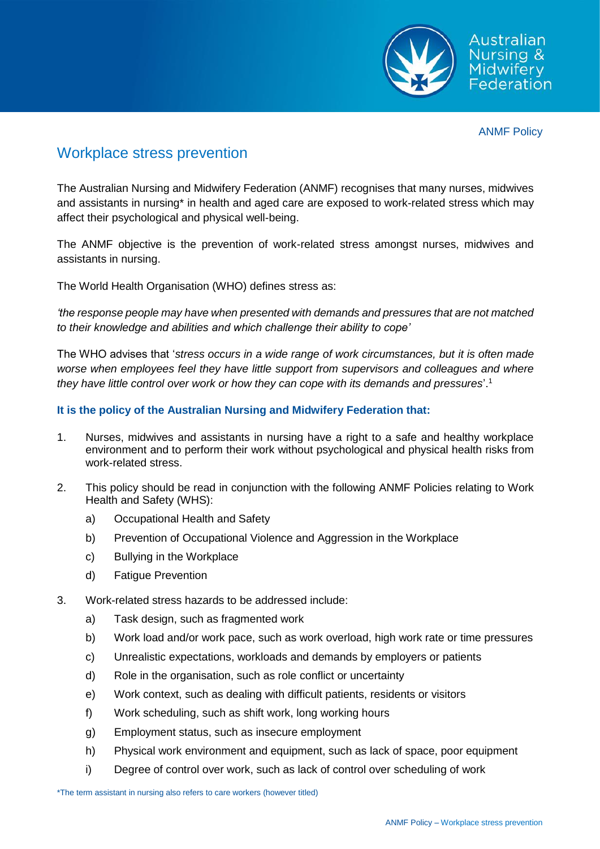

# Workplace stress prevention

The Australian Nursing and Midwifery Federation (ANMF) recognises that many nurses, midwives and assistants in nursing\* in health and aged care are exposed to work-related stress which may affect their psychological and physical well-being.

The ANMF objective is the prevention of work-related stress amongst nurses, midwives and assistants in nursing.

The World Health Organisation (WHO) defines stress as:

*'the response people may have when presented with demands and pressures that are not matched to their knowledge and abilities and which challenge their ability to cope'*

The WHO advises that '*stress occurs in a wide range of work circumstances, but it is often made worse when employees feel they have little support from supervisors and colleagues and where they have little control over work or how they can cope with its demands and pressures*'.<sup>1</sup>

## **It is the policy of the Australian Nursing and Midwifery Federation that:**

- 1. Nurses, midwives and assistants in nursing have a right to a safe and healthy workplace environment and to perform their work without psychological and physical health risks from work-related stress.
- 2. This policy should be read in conjunction with the following ANMF Policies relating to Work Health and Safety (WHS):
	- a) Occupational Health and Safety
	- b) Prevention of Occupational Violence and Aggression in the Workplace
	- c) Bullying in the Workplace
	- d) Fatigue Prevention
- 3. Work-related stress hazards to be addressed include:
	- a) Task design, such as fragmented work
	- b) Work load and/or work pace, such as work overload, high work rate or time pressures
	- c) Unrealistic expectations, workloads and demands by employers or patients
	- d) Role in the organisation, such as role conflict or uncertainty
	- e) Work context, such as dealing with difficult patients, residents or visitors
	- f) Work scheduling, such as shift work, long working hours
	- g) Employment status, such as insecure employment
	- h) Physical work environment and equipment, such as lack of space, poor equipment
	- i) Degree of control over work, such as lack of control over scheduling of work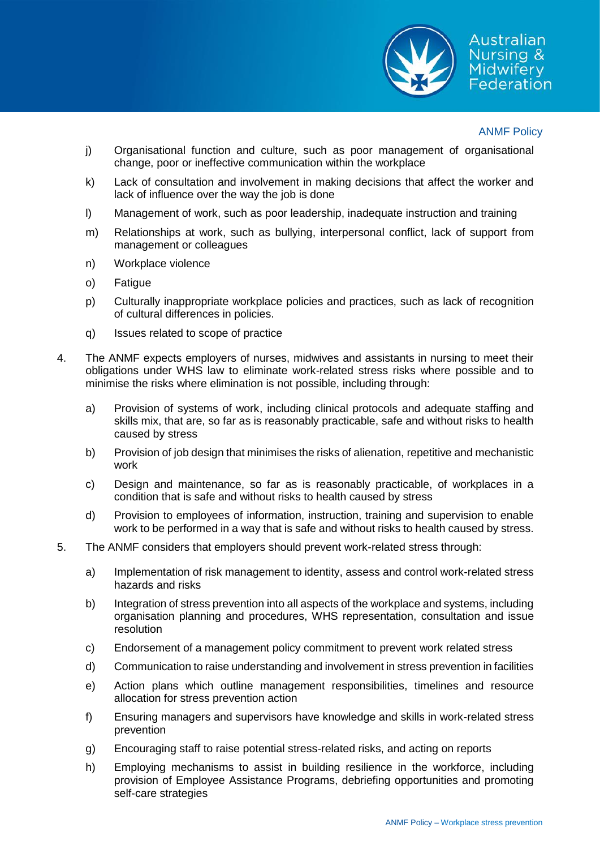

- j) Organisational function and culture, such as poor management of organisational change, poor or ineffective communication within the workplace
- k) Lack of consultation and involvement in making decisions that affect the worker and lack of influence over the way the job is done
- l) Management of work, such as poor leadership, inadequate instruction and training
- m) Relationships at work, such as bullying, interpersonal conflict, lack of support from management or colleagues
- n) Workplace violence
- o) Fatigue
- p) Culturally inappropriate workplace policies and practices, such as lack of recognition of cultural differences in policies.
- q) Issues related to scope of practice
- 4. The ANMF expects employers of nurses, midwives and assistants in nursing to meet their obligations under WHS law to eliminate work-related stress risks where possible and to minimise the risks where elimination is not possible, including through:
	- a) Provision of systems of work, including clinical protocols and adequate staffing and skills mix, that are, so far as is reasonably practicable, safe and without risks to health caused by stress
	- b) Provision of job design that minimises the risks of alienation, repetitive and mechanistic work
	- c) Design and maintenance, so far as is reasonably practicable, of workplaces in a condition that is safe and without risks to health caused by stress
	- d) Provision to employees of information, instruction, training and supervision to enable work to be performed in a way that is safe and without risks to health caused by stress.
- 5. The ANMF considers that employers should prevent work-related stress through:
	- a) Implementation of risk management to identity, assess and control work-related stress hazards and risks
	- b) Integration of stress prevention into all aspects of the workplace and systems, including organisation planning and procedures, WHS representation, consultation and issue resolution
	- c) Endorsement of a management policy commitment to prevent work related stress
	- d) Communication to raise understanding and involvement in stress prevention in facilities
	- e) Action plans which outline management responsibilities, timelines and resource allocation for stress prevention action
	- f) Ensuring managers and supervisors have knowledge and skills in work-related stress prevention
	- g) Encouraging staff to raise potential stress-related risks, and acting on reports
	- h) Employing mechanisms to assist in building resilience in the workforce, including provision of Employee Assistance Programs, debriefing opportunities and promoting self-care strategies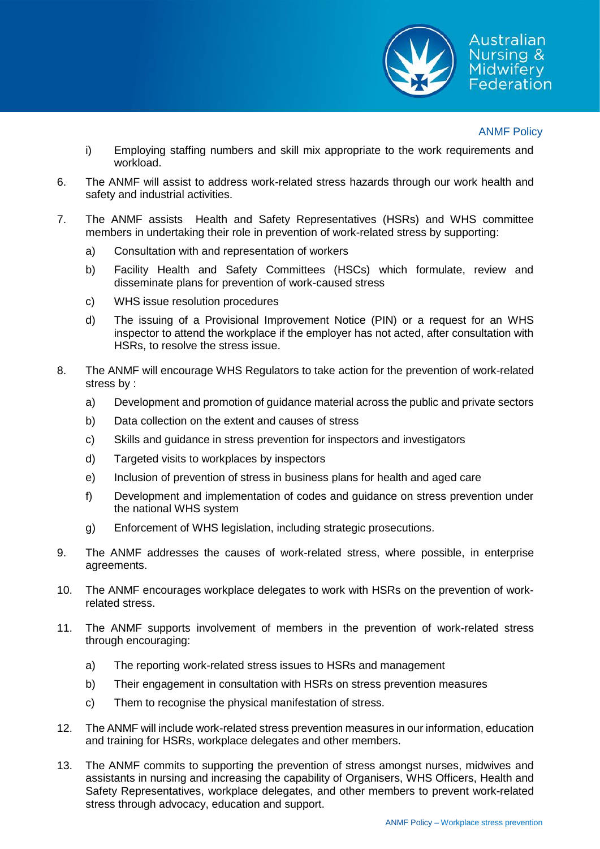

- i) Employing staffing numbers and skill mix appropriate to the work requirements and workload.
- 6. The ANMF will assist to address work-related stress hazards through our work health and safety and industrial activities.
- 7. The ANMF assists Health and Safety Representatives (HSRs) and WHS committee members in undertaking their role in prevention of work-related stress by supporting:
	- a) Consultation with and representation of workers
	- b) Facility Health and Safety Committees (HSCs) which formulate, review and disseminate plans for prevention of work-caused stress
	- c) WHS issue resolution procedures
	- d) The issuing of a Provisional Improvement Notice (PIN) or a request for an WHS inspector to attend the workplace if the employer has not acted, after consultation with HSRs, to resolve the stress issue.
- 8. The ANMF will encourage WHS Regulators to take action for the prevention of work-related stress by :
	- a) Development and promotion of guidance material across the public and private sectors
	- b) Data collection on the extent and causes of stress
	- c) Skills and guidance in stress prevention for inspectors and investigators
	- d) Targeted visits to workplaces by inspectors
	- e) Inclusion of prevention of stress in business plans for health and aged care
	- f) Development and implementation of codes and guidance on stress prevention under the national WHS system
	- g) Enforcement of WHS legislation, including strategic prosecutions.
- 9. The ANMF addresses the causes of work-related stress, where possible, in enterprise agreements.
- 10. The ANMF encourages workplace delegates to work with HSRs on the prevention of workrelated stress.
- 11. The ANMF supports involvement of members in the prevention of work-related stress through encouraging:
	- a) The reporting work-related stress issues to HSRs and management
	- b) Their engagement in consultation with HSRs on stress prevention measures
	- c) Them to recognise the physical manifestation of stress.
- 12. The ANMF will include work-related stress prevention measures in our information, education and training for HSRs, workplace delegates and other members.
- 13. The ANMF commits to supporting the prevention of stress amongst nurses, midwives and assistants in nursing and increasing the capability of Organisers, WHS Officers, Health and Safety Representatives, workplace delegates, and other members to prevent work-related stress through advocacy, education and support.